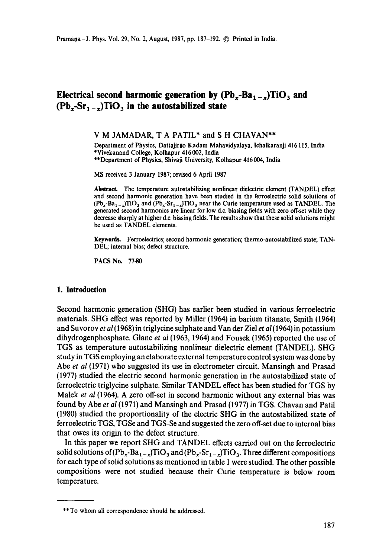# **Electrical second harmonic generation by**  $(Pb_x - Ba_{1-x})TiO_3$  **and**  $(Pb_x-Sr_1-x)TiO_3$  in the autostabilized state

### **V M JAMADAR, T A** PATIL\* and **S H** CHAVAN\*\*

Department of Physics, Dattajirto Kadam Mahavidyalaya, Ichalkaranji 416115, India \*Vivekanand College, Kolhapur 416002, India \*\*Department of Physics, Shivaji University, Kolhapur 416004, India

MS received 3 January 1987; revised 6 April 1987

**Abstract.** The temperature autostabilizing nonlinear dielectric element (TANDEL) effect and second harmonic generation have been studied in the ferroelectric solid solutions of  $(Pb_x - Ba_{1-x})TiO_3$  and  $(Pb_x - Sr_{1-x})TiO_3$  near the Curie temperature used as TANDEL. The generated second harmonics are linear for low d.c. biasing fields with zero off-set while they decrease sharply at higher d.c. biasing fields. The results show that these solid solutions **might**  be used as TANDEL elements.

**Keywords.** Ferroetectrics; second harmonic generation; thermo-autostabilized state; TAN-DEL; internal bias; defect structure.

**PACS** No. 77.80

#### **I. Introduction**

Second harmonic generation (SHG) has earlier been studied in various ferroelectric materials. SHG effect was reported by Miller (1964) in barium titanate, Smith (1964) and Suvorov *et al* (1968) in triglycine sulphate and Van der Ziel *et al* (1964) in potassium dihydrogenphosphate. Glane *et al* (1963, 1964) and Fousek (1965) reported the use of TGS as temperature autostabilizing nonlinear dielectric element (TANDEL). SHG study in TGS employing an elaborate external temperature control system was done by Abe *et al* (1971) who suggested its use in electrometer circuit. Mansingh and Prasad (1977) studied the electric second harmonic generation in the autostabilized state of ferroelectric triglycine sulphate. Similar TANDEL effect has been studied for TGS by Malek *et al* (1964). A zero off-set in second harmonic without any external bias was found by Abe *et al* (1971) and Mansingh and Prasad (1977) in TGS. Chavan and Patil (1980) studied the proportionality of the electric SHG in the autostabilized state of ferroelectric TGS, TGSe and TGS-Se and suggested the zero off-set due to internal bias that owes its origin to the defect structure.

In this paper we report SHG and TANDEL effects carried out on the ferroelectric solid solutions of  $(Pb_x-Ba_{1-x})TiO_3$  and  $(Pb_x-Sr_{1-x})TiO_3$ . Three different compositions for each type of solid solutions as mentioned in table 1 were studied. The other possible compositions were not studied because their Curie temperature is below room temperature.

<sup>\*\*</sup> To whom all correspondence should be addressed.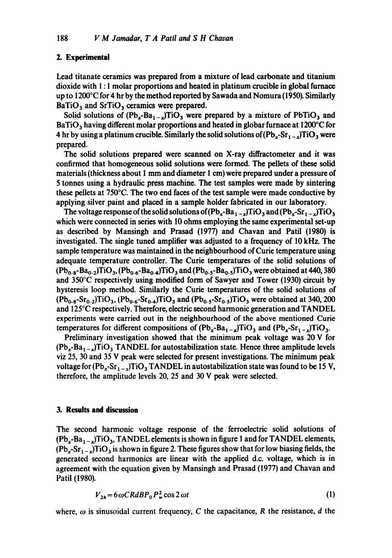#### **2. Experimental**

Lead titanate ceramics was prepared from a mixture of lead carbonate and titanium dioxide with 1 : 1 molar proportions and heated in platinum crucible in global furnace up to 1200°C for 4 hr by the method reported by Sawada and Nomura (1950). Similarly  $BaTiO<sub>3</sub>$  and  $SrTiO<sub>3</sub>$  ceramics were prepared.

Solid solutions of  $(Pb_x - Ba_{1-x})TiO_3$  were prepared by a mixture of PbTiO<sub>3</sub> and  $BaTiO<sub>3</sub>$  having different molar proportions and heated in globar furnace at 1200 $^{\circ}$ C for 4 hr by using a platinum crucible. Similarly the solid solutions of  $(Pb_x-Sr_1 - x)TiO_3$  were prepared.

The solid solutions prepared were scanned on X-ray diffractometer and it was confirmed that homogeneous solid solutions were formed. The pellets of these solid materials (thickness about  $1 \text{ mm}$  and diameter  $1 \text{ cm}$ ) were prepared under a pressure of 5 tonnes using a hydraulic press machine. The test samples were made by sintering these pellets at 750°C. The two end faces of the test sample were made conductive by applying silver paint and placed in a sample holder fabricated in our laboratory.

The voltage response of the solid solutions of  $(Pb_x - Ba_{1-x})TiO_3$  and  $(Pb_x - Sr_{1-x})TiO_3$ which were connected in series with 10 ohms employing the same experimental set-up as described by Mansingh and Prasad (1977) and Chavan and Patil (1980) is investigated. The single tuned amplifier was adjusted to a frequency of 10 kHz. The sample temperature was maintained in the neighbourhood of Curie temperature using adequate temperature controller. The Curie temperatures of the solid solutions of  $(Pb_{0.8}-Ba_{0.2})TiO_3$ ,  $(Pb_{0.6}-Ba_{0.4})TiO_3$  and  $(Pb_{0.5}-Ba_{0.5})TiO_3$  were obtained at 440, 380 and 350°C respectively using modified form of Sawyer and Tower (1930) circuit by hysteresis loop method. Similarly the Curie temperatures of the solid solutions of  $(Pb_{0.8}-Sr_{0.2})TiO_3$ ,  $(Pb_{0.6}-Sr_{0.4})TiO_3$  and  $(Pb_{0.5}-Sr_{0.5})TiO_3$  were obtained at 340, 200 and 125°C respectively. Therefore, electric second harmonic generation and TANDEL experiments were carried out in the neighbourhood of the above mentioned Curie temperatures for different compositions of  $(Pb_x - Ba_{1-x})TiO_3$  and  $(Pb_x - Sr_{1-x})TiO_3$ .

Preliminary investigation showed that the minimum peak voltage was 20 V for  $(Pb_{\tau}-Ba_{1-\tau})TiO_3$  TANDEL for autostabilization state. Hence three amplitude levels viz 25, 30 and 35 V peak were selected for present investigations. The minimum peak voltage for  $(Pb_x-Sr_{1-x})TiO_3$  TANDEL in autostabilization state was found to be 15 V, therefore, the amplitude levels 20, 25 and 30 V peak were selected.

#### **3. Results and discussion**

The second harmonic voltage response of the ferroelectric solid solutions of  $(Pb_x - Ba_{1-x})TiO_3$ , TANDEL elements is shown in figure 1 and for TANDEL elements,  $(Pb_x-Sr_{1-x})TiO_3$  is shown in figure 2. These figures show that for low biasing fields, the generated second harmonics are linear with the applied d.c. voltage, which is in agreement with the equation given by Mansingh and Prasad (1977) and Chavan and Patil (1980).

$$
V_{2h} = 6\omega CRdBP_0P_w^2\cos 2\omega t\tag{1}
$$

where,  $\omega$  is sinusoidal current frequency, C the capacitance, R the resistance, d the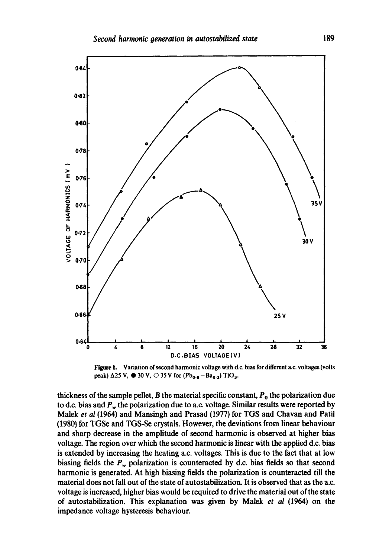

Figure 1. Variation of second harmonic voltage with d.c. bias for different a.c. voltages (volts peak)  $\Delta$ 25 V,  $\bullet$  30 V,  $\circ$  35 V for (Pb<sub>0-8</sub> - Ba<sub>0-2</sub>) TiO<sub>3</sub>.

thickness of the sample pellet, B the material specific constant,  $P_0$  the polarization due to d.c. bias and  $P_w$  the polarization due to a.c. voltage. Similar results were reported by Malek *et al* (1964) and Mansingh and Prasad (1977) for TGS and Chavan and Patti (1980) for TGSe and TGS-Se crystals. However, the deviations from linear behaviour and sharp decrease in the amplitude of second harmonic is observed at higher bias voltage. The region over which the second harmonic is linear with the applied d.c. bias is extended by increasing the heating a.c. voltages. This is due to the fact that at low biasing fields the  $P_w$  polarization is counteracted by d.c. bias fields so that second harmonic is generated. At high biasing fields the polarization is counteracted till the material does not fall out of the state of autostabilization. It is observed that as the a.c. voltage is increased, higher bias would be required to drive the material out of the state of autostabilization. This explanation was given by Malek *et al* (1964) on the impedance voltage hysteresis behaviour.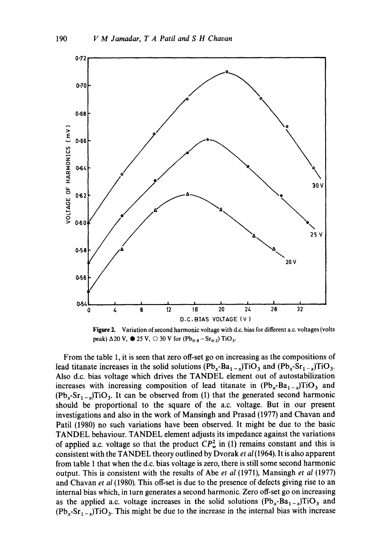

Figure 2. Variation of second harmonic voltage with d.c. bias for different a.c. voltages (volts peak)  $\Delta 20 \text{ V}$ ,  $\bullet$  25 V,  $\odot$  30 V for (Pb<sub>0.8</sub> - Sr<sub>0.2</sub>) TiO<sub>3</sub>.

From the table 1, it is seen that zero off-set go on increasing as the compositions of lead titanate increases in the solid solutions  $(Pb_x - Ba_{1-x})TiO_3$  and  $(Pb_x - Sr_{1-x})TiO_3$ . Also d.c. bias voltage which drives the TANDEL element out of autostabilization increases with increasing composition of lead titanate in  $(Pb_x - Ba_{1-x})TiO_3$  and  $(Pb_r-Sr_{1-r})TiO_3$ . It can be observed from (1) that the generated second harmonic should be proportional to the square of the a.c. voltage. But in our present investigations and also in the work of Mansingh and Prasad (1977) and Chavan and Patil (1980) no such variations have been observed. It might be due to the basic TANDEL behaviour. TANDEL element adjusts its impedance against the variations of applied a.c. voltage so that the product  $CP_w^2$  in (1) remains constant and this is consistent with the TANDEL theory outlined by Dvorak *et al* (1964). It is also apparent from table 1 that when the d.c. bias voltage is zero, there is still some second harmonic output. This is consistent with the results of Abe *et al* (1971), Mansingh *et al* (1977) and Chavan *et al* (1980). This off-set is due to the presence of defects giving rise to an internal bias which, in turn generates a second harmonic. Zero off-set go on increasing as the applied a.c. voltage increases in the solid solutions  $(Pb_x - Ba_{1-x})TiO_3$  and  $(Pb_x-Sr_{1-x})TiO_3$ . This might be due to the increase in the internal bias with increase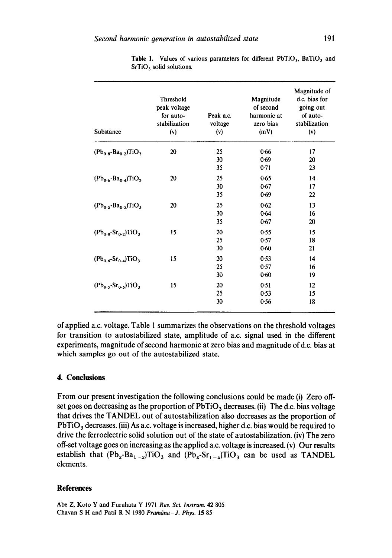| Substance                                  | Threshold<br>peak voltage<br>for auto-<br>stabilization<br>(v) | Peak a.c.<br>voltage<br>(v) | Magnitude<br>of second<br>harmonic at<br>zero bias<br>(mV) | Magnitude of<br>d.c. bias for<br>going out<br>of auto-<br>stabilization<br>(v) |
|--------------------------------------------|----------------------------------------------------------------|-----------------------------|------------------------------------------------------------|--------------------------------------------------------------------------------|
| $(Pb_{0.8} - Ba_{0.2})TiO_3$               | 20                                                             | 25                          | 0.66                                                       | 17                                                                             |
|                                            |                                                                | 30                          | 0.69                                                       | 20                                                                             |
|                                            |                                                                | 35                          | 0.71                                                       | 23                                                                             |
| $(Pb_{0.6} - Ba_{0.4})TiO_3$               | 20                                                             | 25                          | 0.65                                                       | 14                                                                             |
|                                            |                                                                | 30                          | 0.67                                                       | 17                                                                             |
|                                            |                                                                | 35                          | 0.69                                                       | 22                                                                             |
| $(Pb_0, -Ba_0, \sqrt{T}1O_3)$              | 20                                                             | 25                          | 0.62                                                       | 13                                                                             |
|                                            |                                                                | 30                          | 0.64                                                       | 16                                                                             |
|                                            |                                                                | 35                          | 0.67                                                       | 20                                                                             |
| $(Pb_{0.8}$ - $Sr_{0.2}$ )TiO <sub>3</sub> | 15                                                             | 20                          | 0.55                                                       | 15                                                                             |
|                                            |                                                                | 25                          | 0.57                                                       | 18                                                                             |
|                                            |                                                                | 30                          | 0.60                                                       | 21                                                                             |
| $(Pb_{0.6} - Sr_{0.4})TiO3$                | 15                                                             | 20                          | 0.53                                                       | 14                                                                             |
|                                            |                                                                | 25                          | 0.57                                                       | 16                                                                             |
|                                            |                                                                | 30                          | 0.60                                                       | 19                                                                             |
| $(Pb_0, Sr_0)$ TiO <sub>3</sub>            | 15                                                             | 20                          | 0.51                                                       | 12                                                                             |
|                                            |                                                                | 25                          | 0.53                                                       | 15                                                                             |
|                                            |                                                                | 30                          | 0.56                                                       | 18                                                                             |

Table 1. Values of various parameters for different  $PbTiO<sub>3</sub>$ , BaTiO<sub>3</sub> and  $SrTiO<sub>3</sub>$  solid solutions.

of applied a.c. voltage. Table 1 summarizes the observations on the threshold voltages for transition to autostabilized state, amplitude of a.c. signal used in the different experiments, magnitude of second harmonic at zero bias and magnitude of d.c. bias at which samples go out of the autostabilized state.

## **4. Conclusions**

From our present investigation the following conclusions could be made (i) Zero offset goes on decreasing as the proportion of  $PbTiO<sub>3</sub>$  decreases. (ii) The d.c. bias voltage that drives the TANDEL out of autostabilization also decreases as the proportion of  $PbTiO<sub>3</sub>$  decreases. (iii) As a.c. voltage is increased, higher d.c. bias would be required to drive the ferroelectric solid solution out of the state of autostabilization. (iv) The zero off-set voltage goes on increasing as the applied a.c. voltage is increased.  $(v)$  Our results establish that  $(Pb_x - Ba_{1-x})TiO_3$  and  $(Pb_x - Sr_{1-x})TiO_3$  can be used as TANDEL elements.

#### **References**

Abe Z, Koto Y and Furuhata Y 1971 *Rev. Sci. lnstrum.* 42 805 Chavan S H and Patil R N 1980 *Pramdna-J. Phys.* 15 85